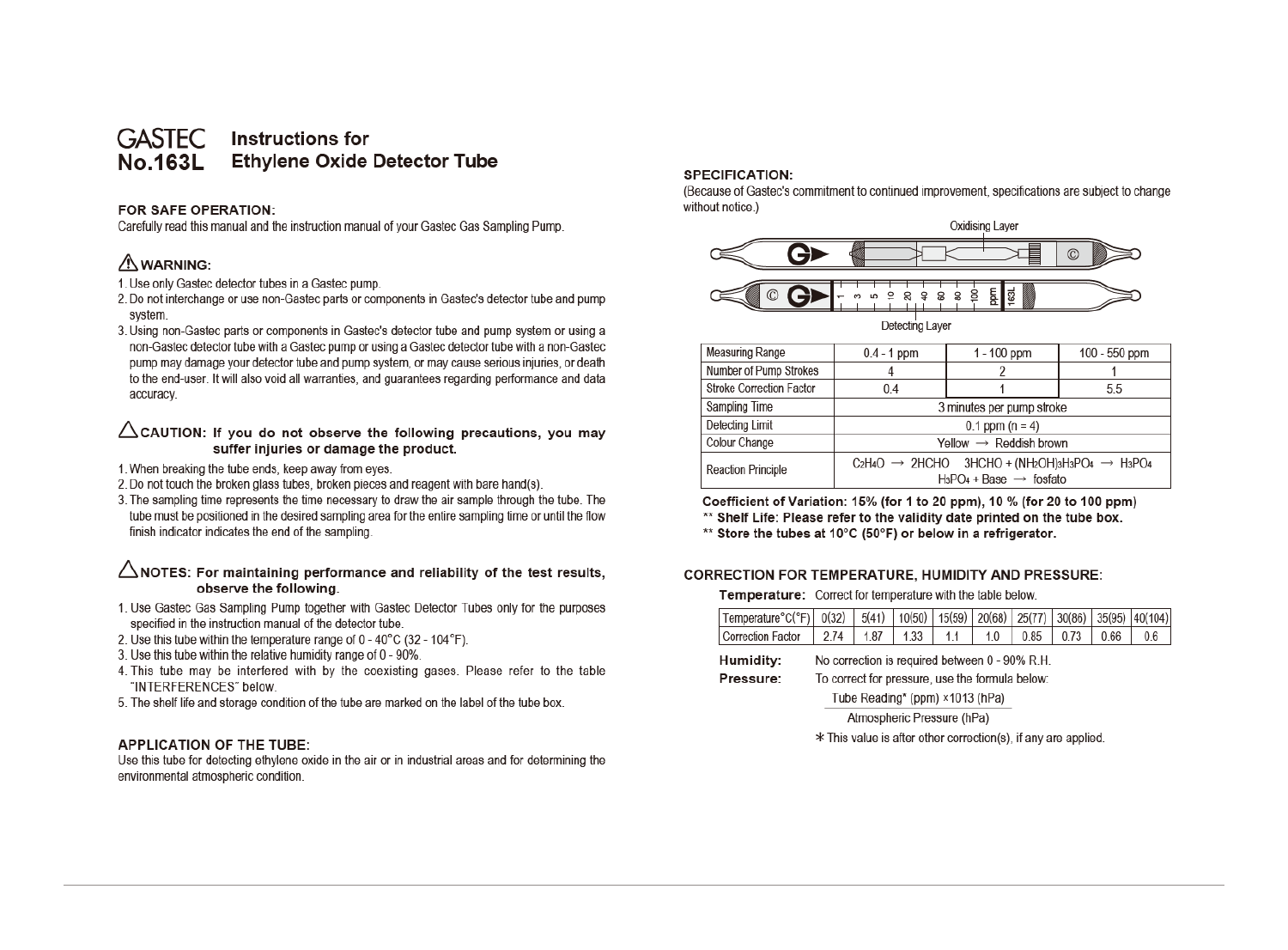#### **GASTEC** Instructions for No 1631 **Ethylene Oxide Detector Tube**

## FOR SAFE OPERATION:

Carefully read this manual and the instruction manual of your Gastec Gas Sampling Pump.

# A WARNING:

1. Use only Gastec detector tubes in a Gastec pump.

- 2. Do not interchange or use non-Gastec parts or components in Gastec's detector tube and pump system.
- 3. Using non-Gastec parts or components in Gastec's detector tube and pump system or using a non-Gastec detector tube with a Gastec pump or using a Gastec detector tube with a non-Gastec pump may damage your detector tube and pump system, or may cause serious injuries, or death to the end-user. It will also void all warranties, and guarantees regarding performance and data accuracy.

## $\triangle$ CAUTION: If you do not observe the following precautions, you may suffer injuries or damage the product.

- 1. When breaking the tube ends, keep away from eyes.
- 2. Do not touch the broken glass tubes, broken pieces and reagent with bare hand(s).
- 3. The sampling time represents the time necessary to draw the air sample through the tube. The tube must be positioned in the desired sampling area for the entire sampling time or until the flow finish indicator indicates the end of the sampling.

# $\triangle$  NOTES: For maintaining performance and reliability of the test results, observe the following.

- 1. Use Gastec Gas Sampling Pump together with Gastec Detector Tubes only for the purposes specified in the instruction manual of the detector tube.
- 2. Use this tube within the temperature range of  $0 40^{\circ}$ C (32 104 $^{\circ}$ F).
- 3. Use this tube within the relative humidity range of 0 90%.
- 4. This tube may be interfered with by the coexisting gases. Please refer to the table "INTERFERENCES" below.
- 5. The shelf life and storage condition of the tube are marked on the label of the tube box.

## **APPLICATION OF THE TUBE:**

Use this tube for detecting ethylene oxide in the air or in industrial areas and for determining the environmental atmospheric condition.

## **SPECIFICATION:**

(Because of Gastec's commitment to continued improvement, specifications are subject to change without notice.)



| Measuring Range                 | $0.4 - 1$ ppm                                                                                                                                                                | $1 - 100$ ppm | $100 - 550$ ppm |
|---------------------------------|------------------------------------------------------------------------------------------------------------------------------------------------------------------------------|---------------|-----------------|
| Number of Pump Strokes          | 4                                                                                                                                                                            | 2             |                 |
| <b>Stroke Correction Factor</b> | 0.4                                                                                                                                                                          |               | 5.5             |
| <b>Sampling Time</b>            | 3 minutes per pump stroke                                                                                                                                                    |               |                 |
| <b>Detecting Limit</b>          | $0.1$ ppm (n = 4)                                                                                                                                                            |               |                 |
| Colour Change                   | Yellow $\rightarrow$ Reddish brown                                                                                                                                           |               |                 |
| <b>Reaction Principle</b>       | $C_2H_4O \rightarrow 2HCHO$ 3HCHO + (NH <sub>2</sub> OH)3H <sub>3</sub> PO <sub>4</sub> $\rightarrow$ H <sub>3</sub> PO <sub>4</sub><br>$H_3PO_4 + Base \rightarrow$ fosfato |               |                 |

Coefficient of Variation: 15% (for 1 to 20 ppm), 10 % (for 20 to 100 ppm)

\*\* Shelf Life: Please refer to the validity date printed on the tube box.

\*\* Store the tubes at 10°C (50°F) or below in a refrigerator.

## **CORRECTION FOR TEMPERATURE, HUMIDITY AND PRESSURE:**

Temperature: Correct for temperature with the table below.

| Temperature°C(°F) 0(32) 5(41) 10(50) 15(59) 20(68) 25(77) 30(86) 35(95) 40(104) |  |  |  |  |  |
|---------------------------------------------------------------------------------|--|--|--|--|--|
| Correction Factor   2.74   1.87   1.33   1.1   1.0   0.85   0.73   0.66   0.6   |  |  |  |  |  |

No correction is required between 0 - 90% R.H. Humidity:

To correct for pressure, use the formula below: Pressure:

Tube Reading\* (ppm) ×1013 (hPa)

Atmospheric Pressure (hPa)

\* This value is after other correction(s), if any are applied.